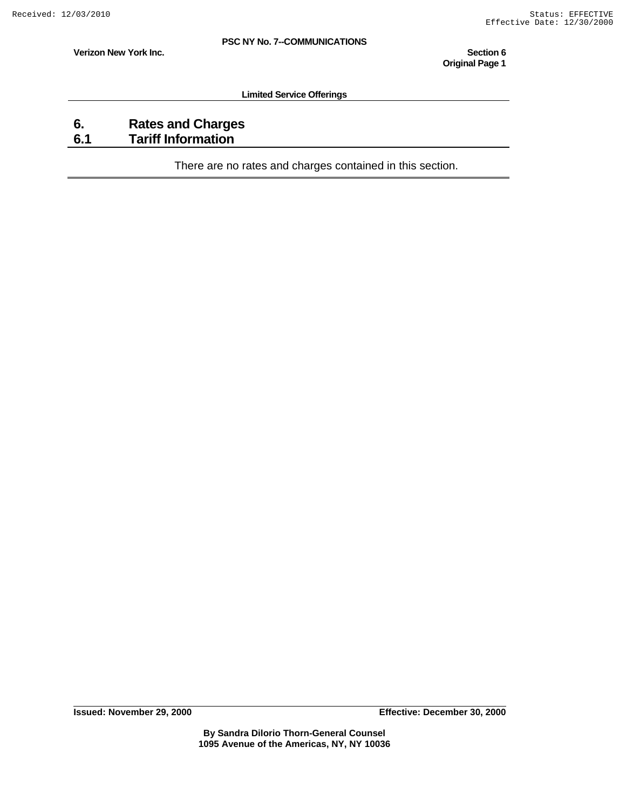**Verizon New York Inc.** Section 6 *New York Inc.* **Section 6 <b>***Section 6*  **Original Page 1** 

**Limited Service Offerings** 

## **6. Rates and Charges 6.1 Tariff Information**

There are no rates and charges contained in this section.

**Issued: November 29, 2000 Effective: December 30, 2000**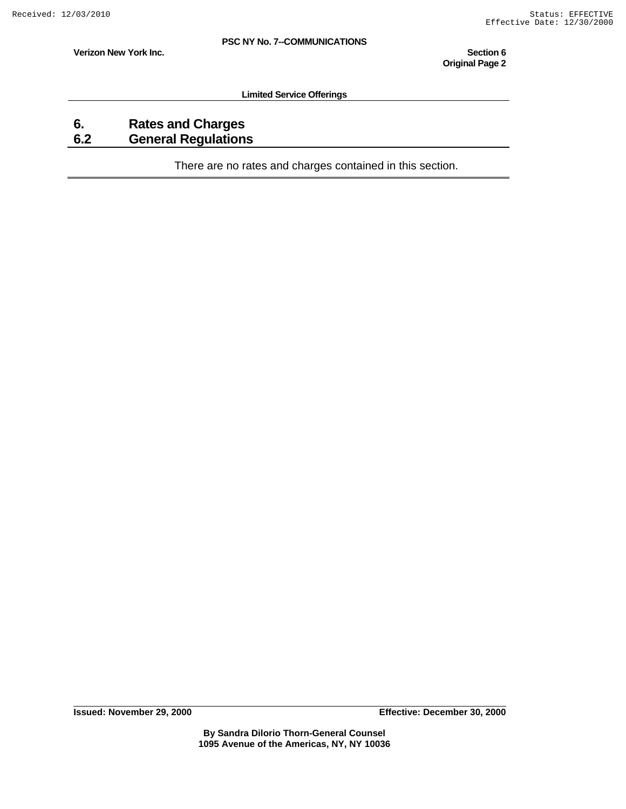**Verizon New York Inc.** Section 6 *New York Inc.* **Section 6 <b>***Section 6*  **Original Page 2** 

**Limited Service Offerings** 

## **6. Rates and Charges 6.2 General Regulations**

There are no rates and charges contained in this section.

**Issued: November 29, 2000 Effective: December 30, 2000**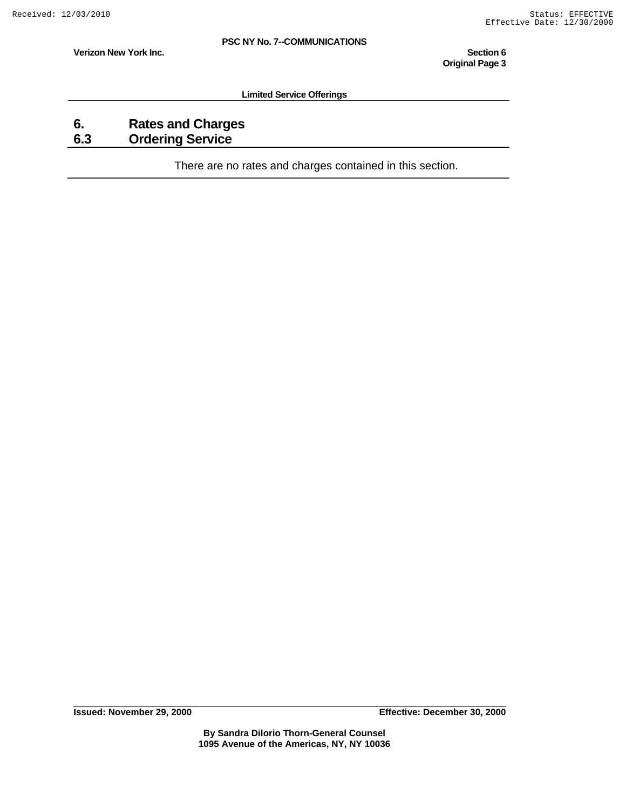**Original Page 3** 

**Verizon New York Inc.** Section 6 *New York Inc.* **Section 6 <b>***Section 6* 

**Limited Service Offerings** 

## **6. Rates and Charges 6.3 Ordering Service**

There are no rates and charges contained in this section.

**Issued: November 29, 2000 Effective: December 30, 2000**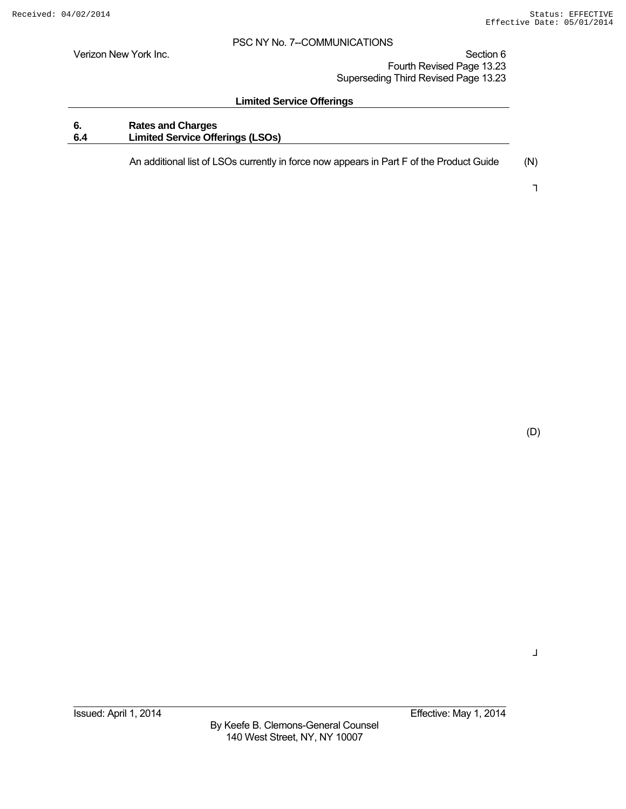Verizon New York Inc. Section 6 Fourth Revised Page 13.23 Superseding Third Revised Page 13.23

#### **Limited Service Offerings**

## **6. Rates and Charges 6.4 Limited Service Offerings (LSOs)**

An additional list of LSOs currently in force now appears in Part F of the Product Guide (N)

┐

(D)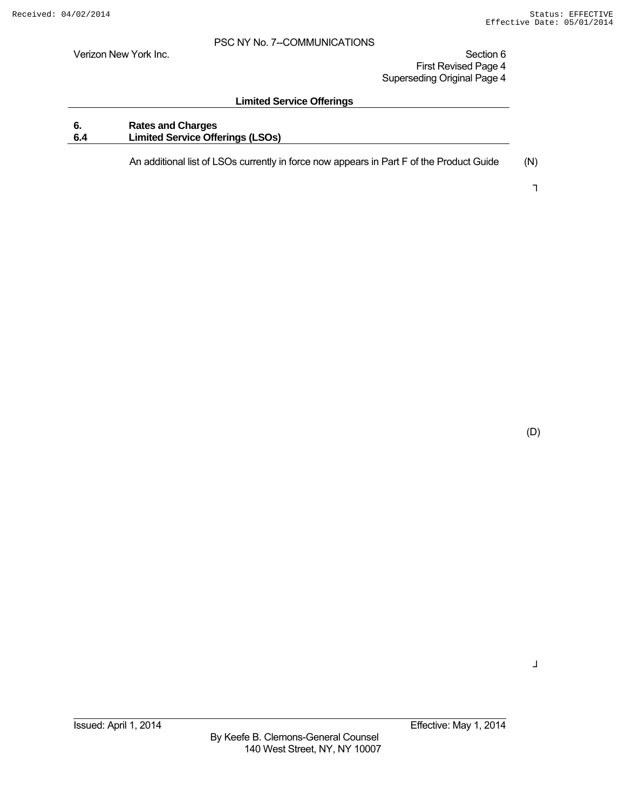Verizon New York Inc. Section 6

 First Revised Page 4 Superseding Original Page 4

#### **Limited Service Offerings**

## **6. Rates and Charges 6.4 Limited Service Offerings (LSOs)**

An additional list of LSOs currently in force now appears in Part F of the Product Guide (N)

┐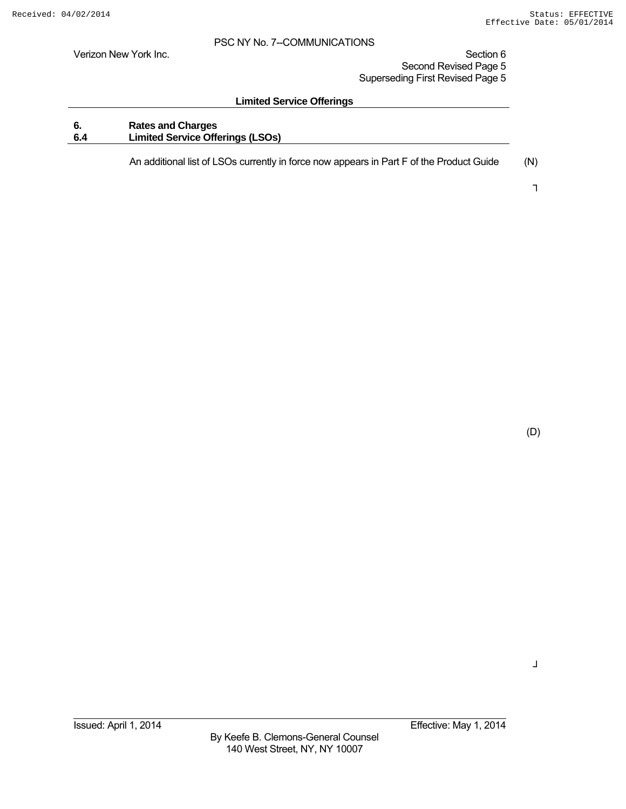Verizon New York Inc. Section 6 Second Revised Page 5 Superseding First Revised Page 5

#### **Limited Service Offerings**

## **6. Rates and Charges 6.4 Limited Service Offerings (LSOs)**

An additional list of LSOs currently in force now appears in Part F of the Product Guide (N)

┐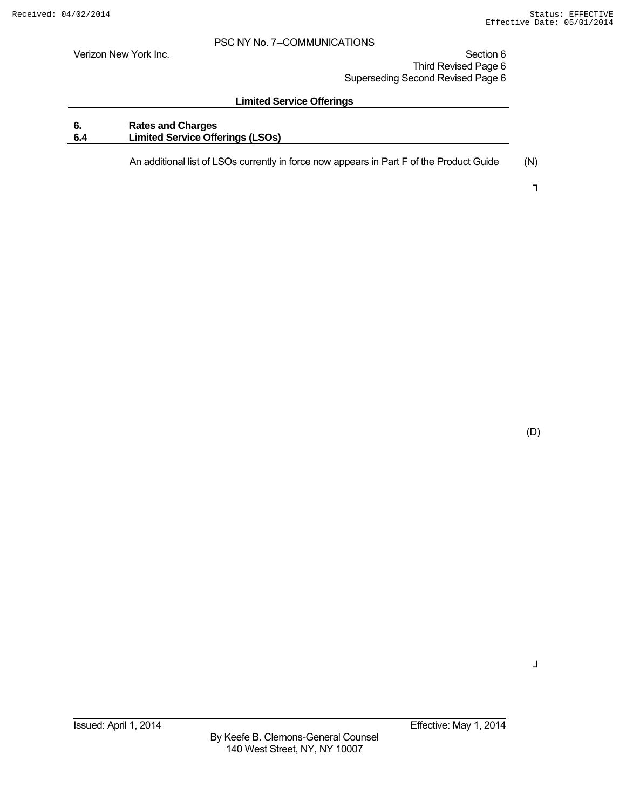Verizon New York Inc. Section 6 Third Revised Page 6 Superseding Second Revised Page 6

#### **Limited Service Offerings**

## **6. Rates and Charges 6.4 Limited Service Offerings (LSOs)**

An additional list of LSOs currently in force now appears in Part F of the Product Guide (N)

┐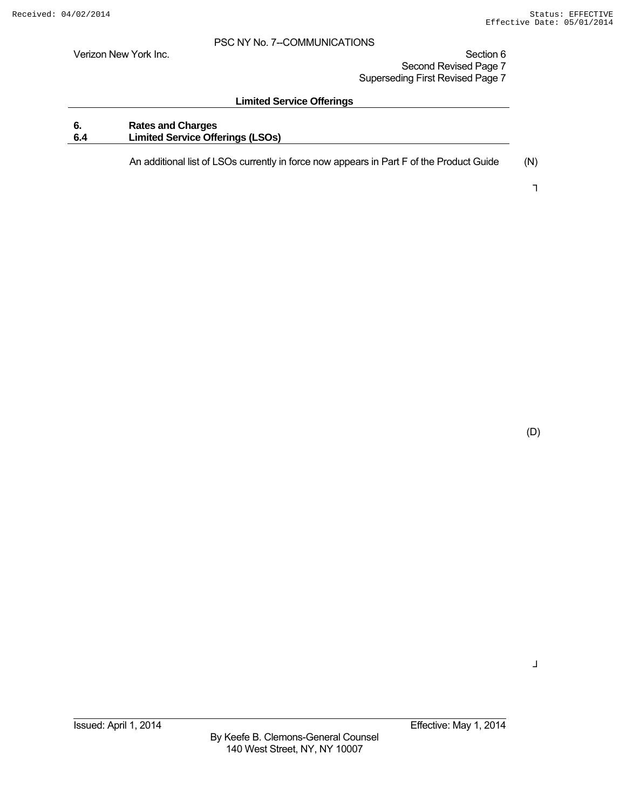Verizon New York Inc. Section 6 Second Revised Page 7 Superseding First Revised Page 7

#### **Limited Service Offerings**

## **6. Rates and Charges 6.4 Limited Service Offerings (LSOs)**

An additional list of LSOs currently in force now appears in Part F of the Product Guide (N)

┐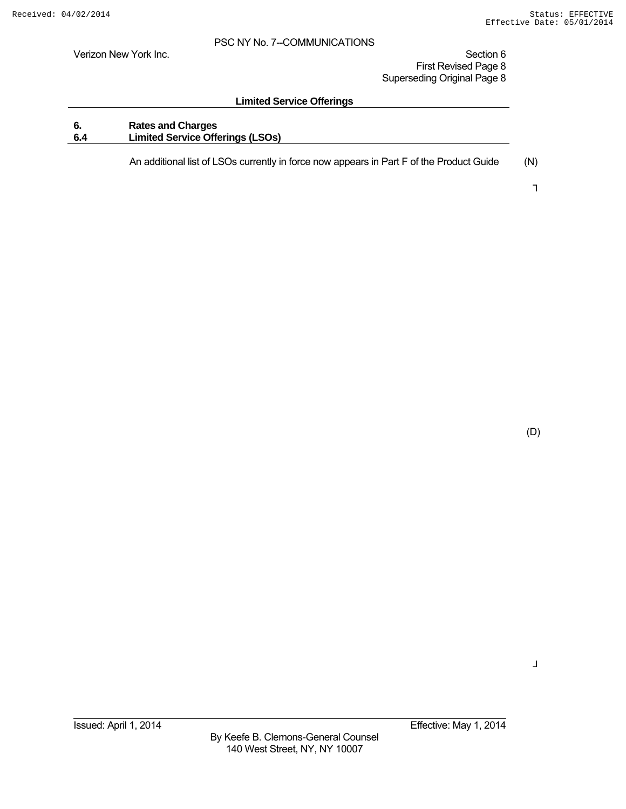Verizon New York Inc. Section 6

 First Revised Page 8 Superseding Original Page 8

#### **Limited Service Offerings**

## **6. Rates and Charges 6.4 Limited Service Offerings (LSOs)**

An additional list of LSOs currently in force now appears in Part F of the Product Guide (N)

┐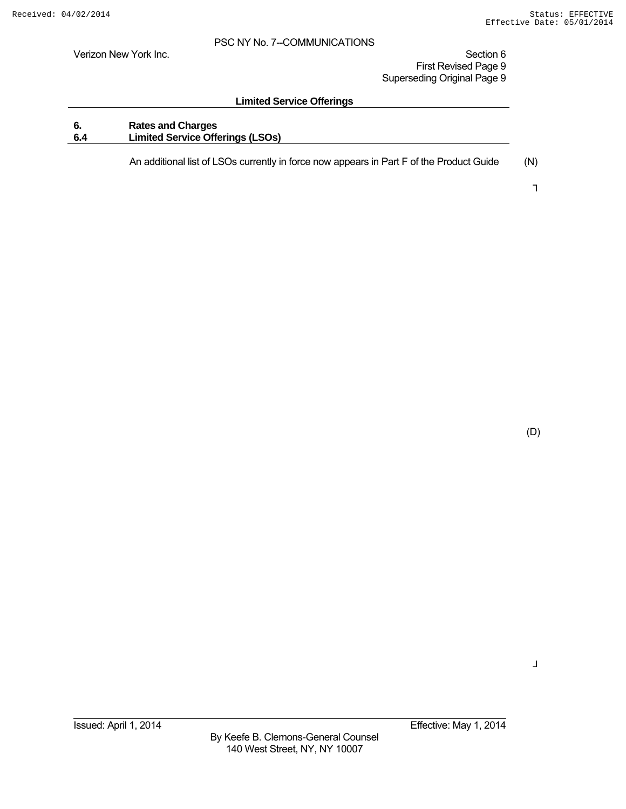Verizon New York Inc. Section 6

 First Revised Page 9 Superseding Original Page 9

#### **Limited Service Offerings**

## **6. Rates and Charges 6.4 Limited Service Offerings (LSOs)**

An additional list of LSOs currently in force now appears in Part F of the Product Guide (N)

┐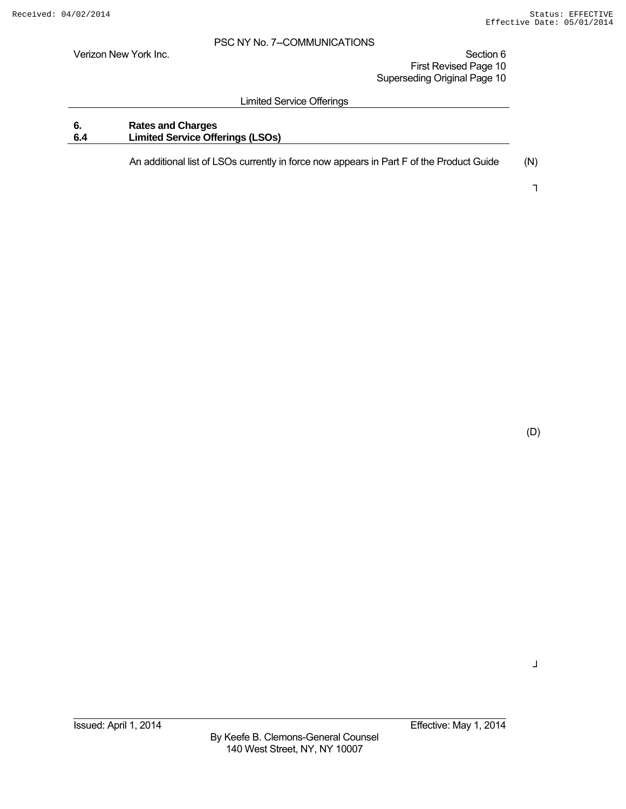Verizon New York Inc. Section 6

 First Revised Page 10 Superseding Original Page 10

#### Limited Service Offerings

## **6. Rates and Charges 6.4 Limited Service Offerings (LSOs)**

An additional list of LSOs currently in force now appears in Part F of the Product Guide (N)

┐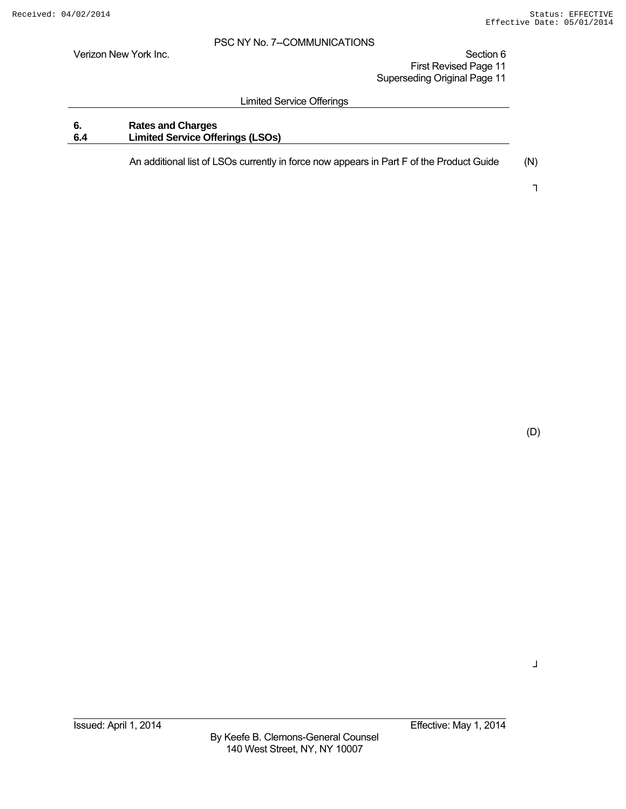Verizon New York Inc. **Section 6** Section 6

 First Revised Page 11 Superseding Original Page 11

#### Limited Service Offerings

## **6. Rates and Charges 6.4 Limited Service Offerings (LSOs)**

An additional list of LSOs currently in force now appears in Part F of the Product Guide (N)

┐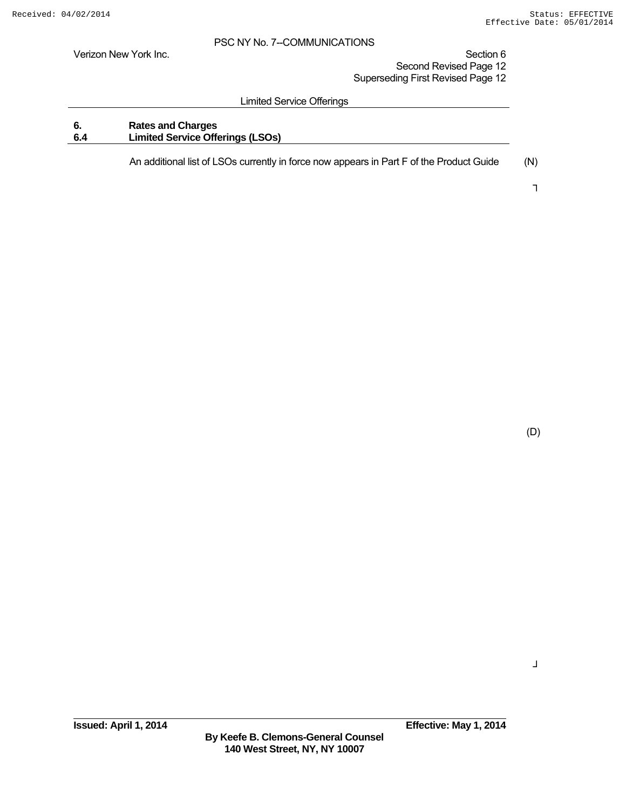Verizon New York Inc. Section 6 Second Revised Page 12 Superseding First Revised Page 12

#### Limited Service Offerings

## **6. Rates and Charges 6.4 Limited Service Offerings (LSOs)**

An additional list of LSOs currently in force now appears in Part F of the Product Guide (N)

┐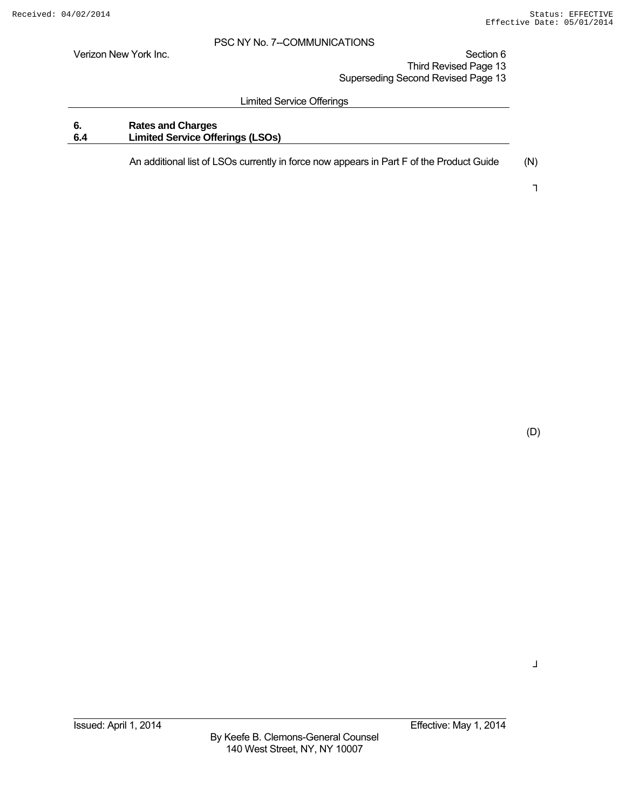Verizon New York Inc. Section 6 Third Revised Page 13 Superseding Second Revised Page 13

#### Limited Service Offerings

## **6. Rates and Charges 6.4 Limited Service Offerings (LSOs)**

An additional list of LSOs currently in force now appears in Part F of the Product Guide (N)

┐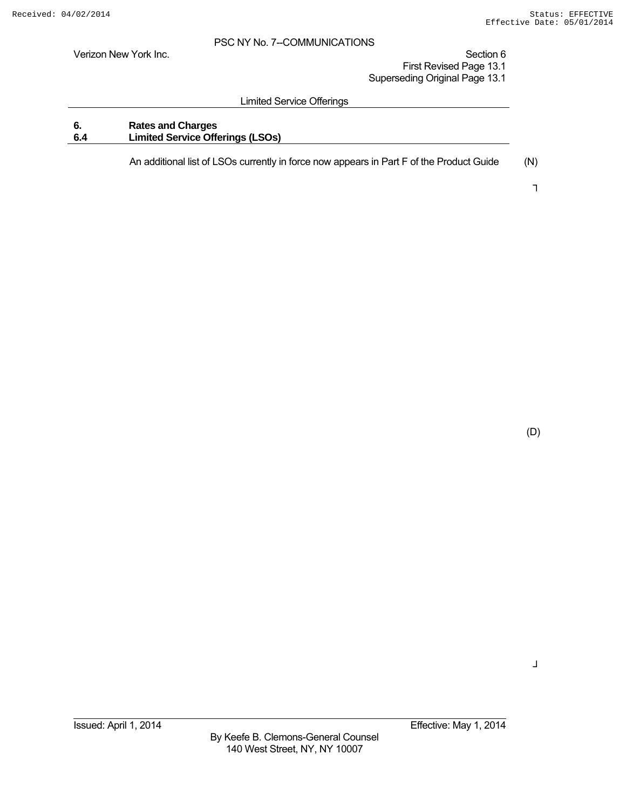Verizon New York Inc. Section 6

 First Revised Page 13.1 Superseding Original Page 13.1

#### Limited Service Offerings

## **6. Rates and Charges 6.4 Limited Service Offerings (LSOs)**

An additional list of LSOs currently in force now appears in Part F of the Product Guide (N)

┐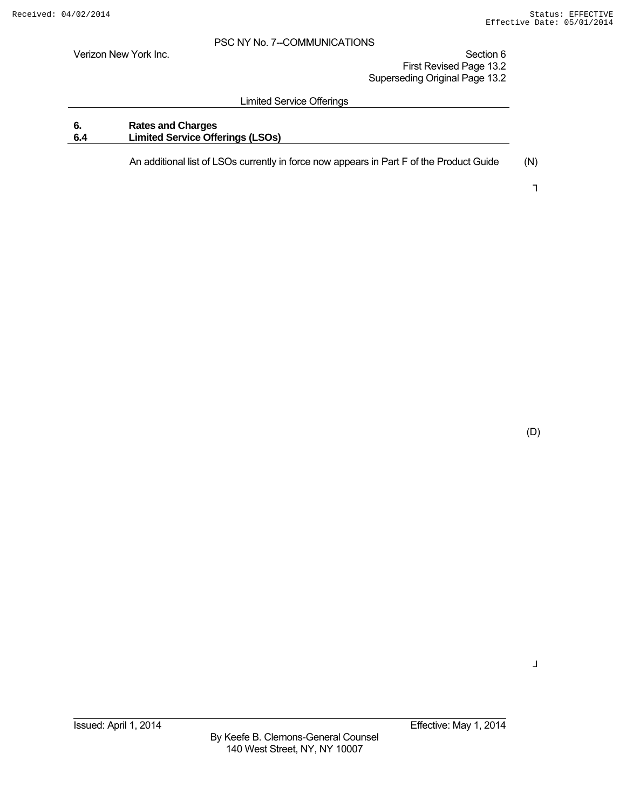Verizon New York Inc. Section 6

 First Revised Page 13.2 Superseding Original Page 13.2

#### Limited Service Offerings

## **6. Rates and Charges 6.4 Limited Service Offerings (LSOs)**

An additional list of LSOs currently in force now appears in Part F of the Product Guide (N)

┐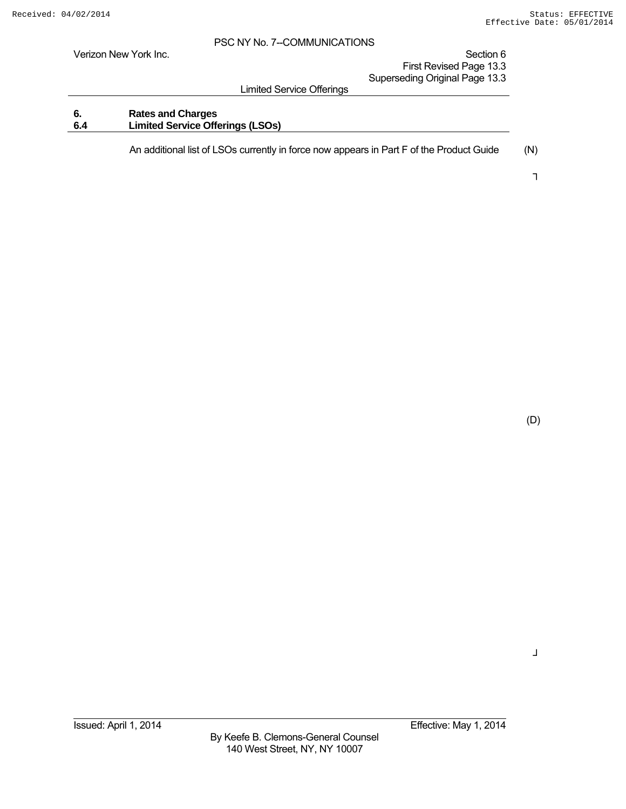Verizon New York Inc. Section 6 First Revised Page 13.3 Superseding Original Page 13.3

Limited Service Offerings

### **6. Rates and Charges 6.4 Limited Service Offerings (LSOs)**

An additional list of LSOs currently in force now appears in Part F of the Product Guide (N)

┐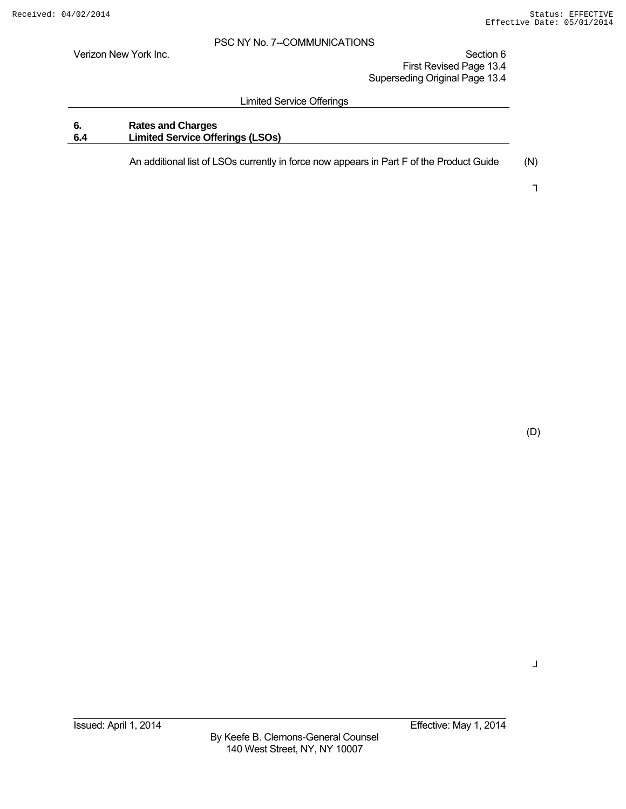Verizon New York Inc. Section 6

 First Revised Page 13.4 Superseding Original Page 13.4

#### Limited Service Offerings

## **6. Rates and Charges 6.4 Limited Service Offerings (LSOs)**

An additional list of LSOs currently in force now appears in Part F of the Product Guide (N)

┐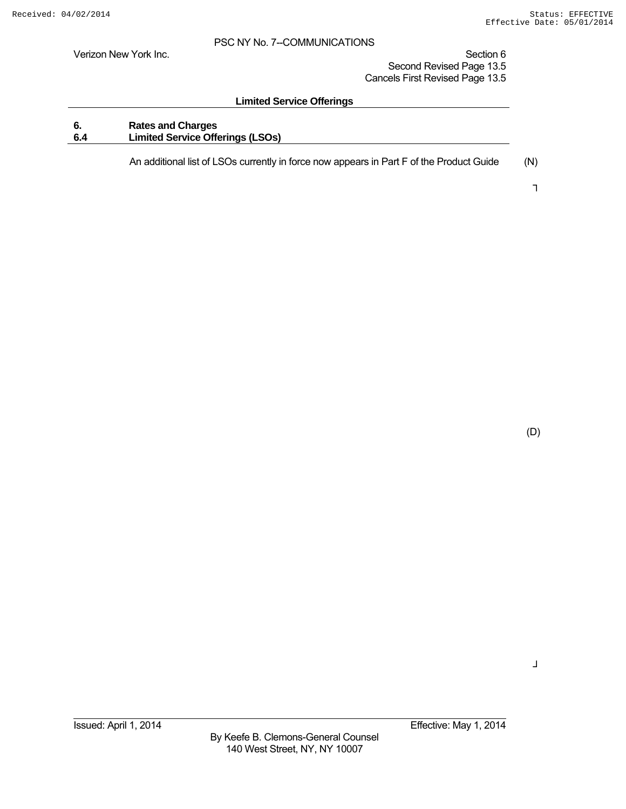Verizon New York Inc. Section 6 Second Revised Page 13.5 Cancels First Revised Page 13.5

#### **Limited Service Offerings**

## **6. Rates and Charges 6.4 Limited Service Offerings (LSOs)**

An additional list of LSOs currently in force now appears in Part F of the Product Guide (N)

┐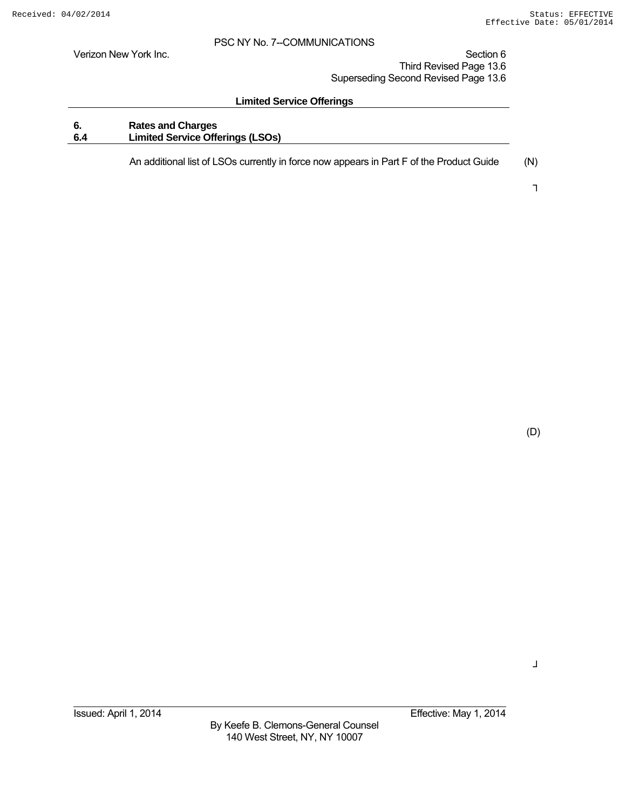Verizon New York Inc. Section 6 Third Revised Page 13.6 Superseding Second Revised Page 13.6

#### **Limited Service Offerings**

## **6. Rates and Charges 6.4 Limited Service Offerings (LSOs)**

An additional list of LSOs currently in force now appears in Part F of the Product Guide (N)

┐

(D)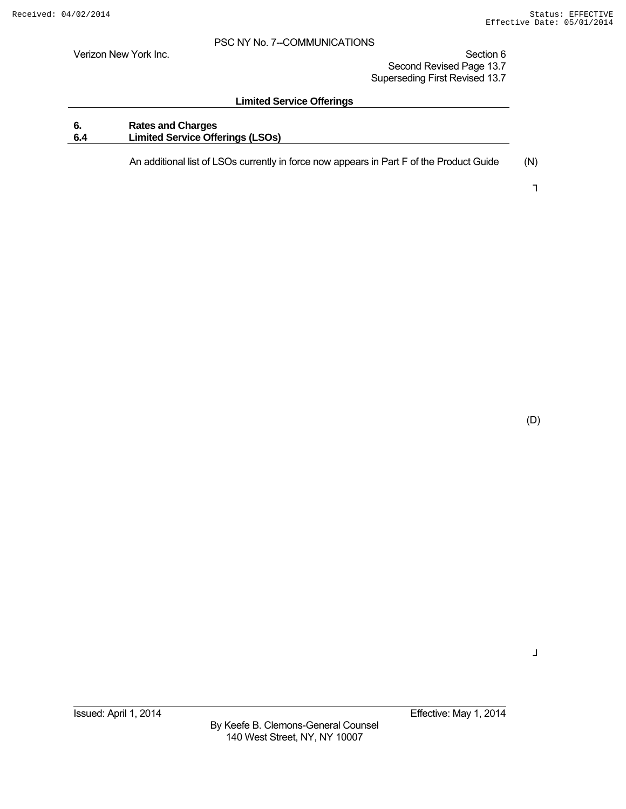Verizon New York Inc. Section 6

 Second Revised Page 13.7 Superseding First Revised 13.7

#### **Limited Service Offerings**

## **6. Rates and Charges 6.4 Limited Service Offerings (LSOs)**

An additional list of LSOs currently in force now appears in Part F of the Product Guide (N)

┐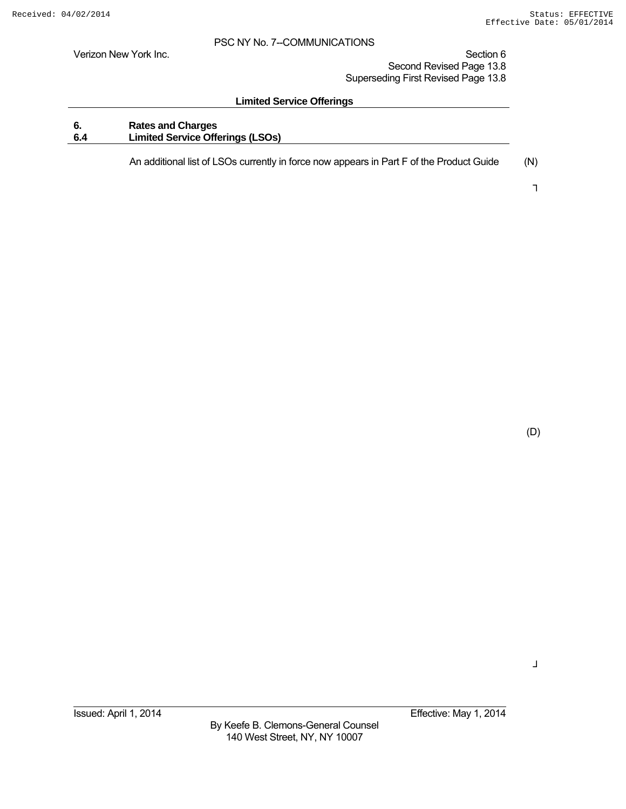Verizon New York Inc. Section 6 Second Revised Page 13.8 Superseding First Revised Page 13.8

#### **Limited Service Offerings**

## **6. Rates and Charges 6.4 Limited Service Offerings (LSOs)**

An additional list of LSOs currently in force now appears in Part F of the Product Guide (N)

┐

(D)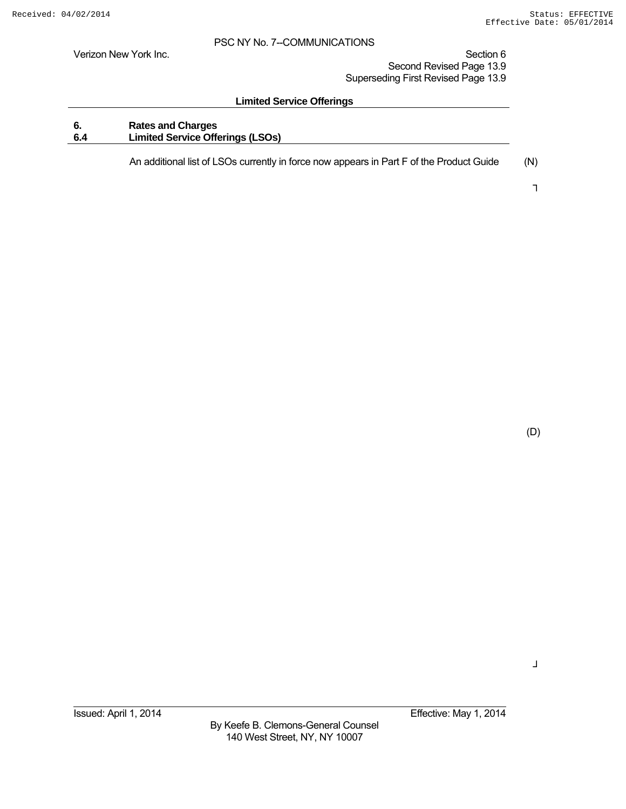Verizon New York Inc. Section 6 Second Revised Page 13.9 Superseding First Revised Page 13.9

#### **Limited Service Offerings**

## **6. Rates and Charges 6.4 Limited Service Offerings (LSOs)**

An additional list of LSOs currently in force now appears in Part F of the Product Guide (N)

┐

(D)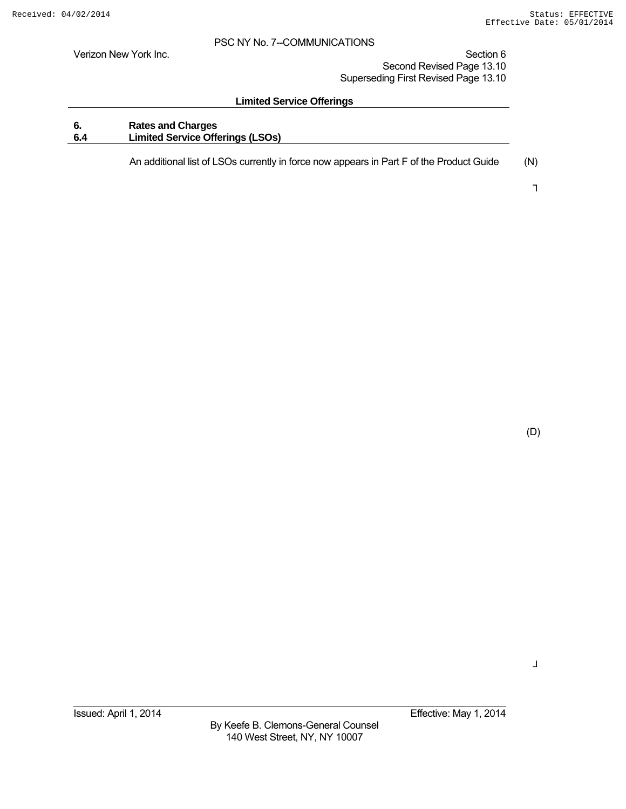Verizon New York Inc. Section 6 Second Revised Page 13.10 Superseding First Revised Page 13.10

#### **Limited Service Offerings**

## **6. Rates and Charges 6.4 Limited Service Offerings (LSOs)**

An additional list of LSOs currently in force now appears in Part F of the Product Guide (N)

┐

(D)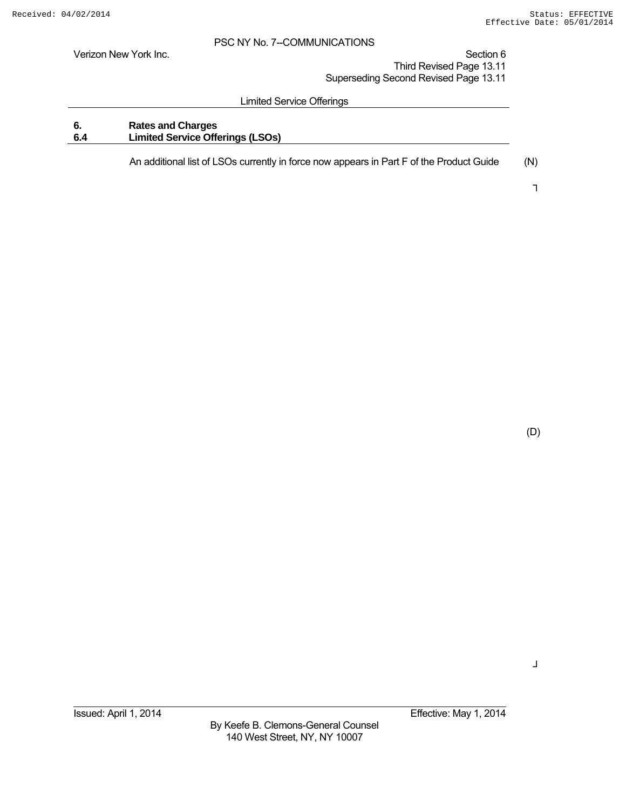Verizon New York Inc. Section 6 Third Revised Page 13.11 Superseding Second Revised Page 13.11

#### Limited Service Offerings

## **6. Rates and Charges 6.4 Limited Service Offerings (LSOs)**

An additional list of LSOs currently in force now appears in Part F of the Product Guide (N)

┐

(D)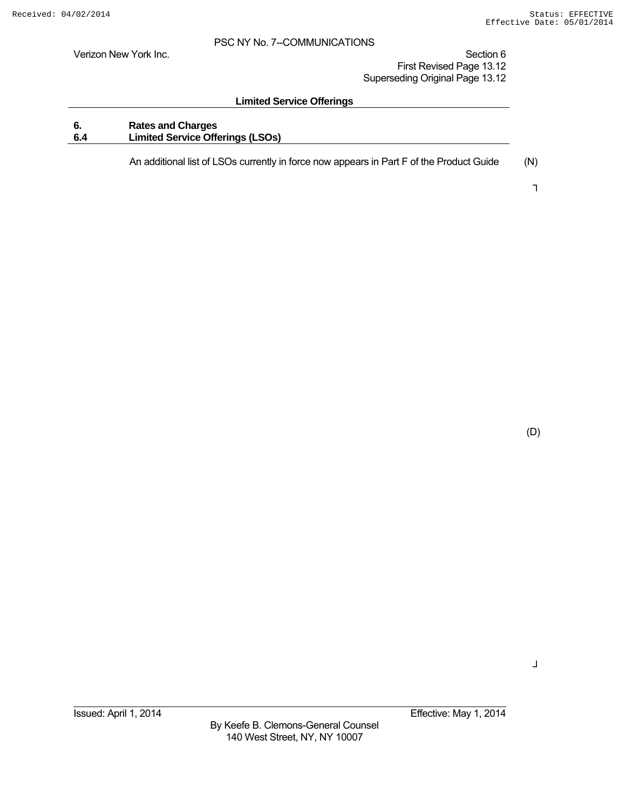Verizon New York Inc. Section 6

 First Revised Page 13.12 Superseding Original Page 13.12

#### **Limited Service Offerings**

## **6. Rates and Charges 6.4 Limited Service Offerings (LSOs)**

An additional list of LSOs currently in force now appears in Part F of the Product Guide (N)

┐

(D)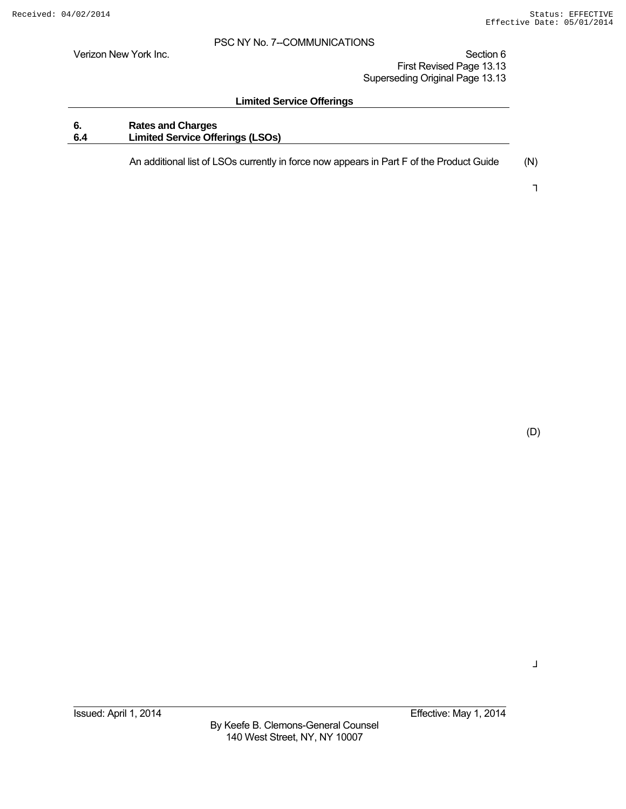Verizon New York Inc. Section 6

 First Revised Page 13.13 Superseding Original Page 13.13

#### **Limited Service Offerings**

## **6. Rates and Charges 6.4 Limited Service Offerings (LSOs)**

An additional list of LSOs currently in force now appears in Part F of the Product Guide (N)

┐

(D)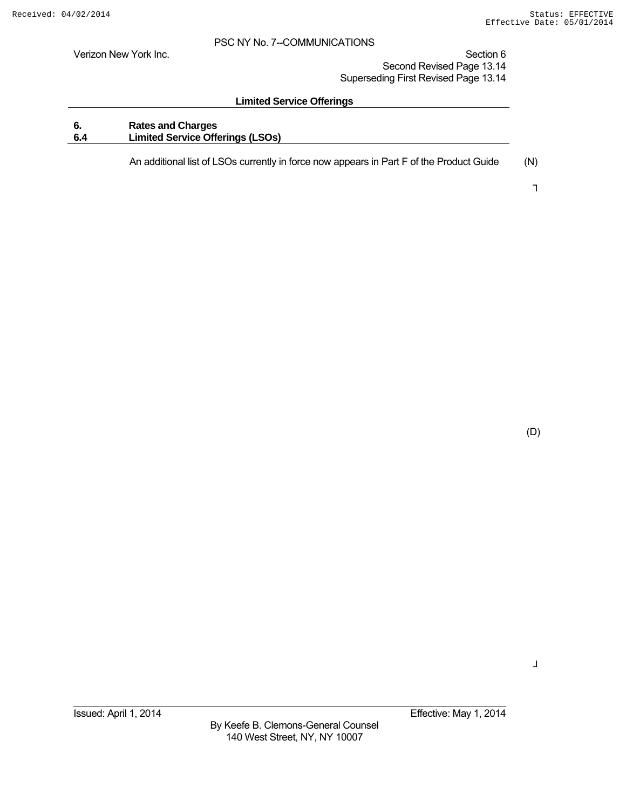Verizon New York Inc. Section 6 Second Revised Page 13.14 Superseding First Revised Page 13.14

#### **Limited Service Offerings**

## **6. Rates and Charges 6.4 Limited Service Offerings (LSOs)**

An additional list of LSOs currently in force now appears in Part F of the Product Guide (N)

┐

(D)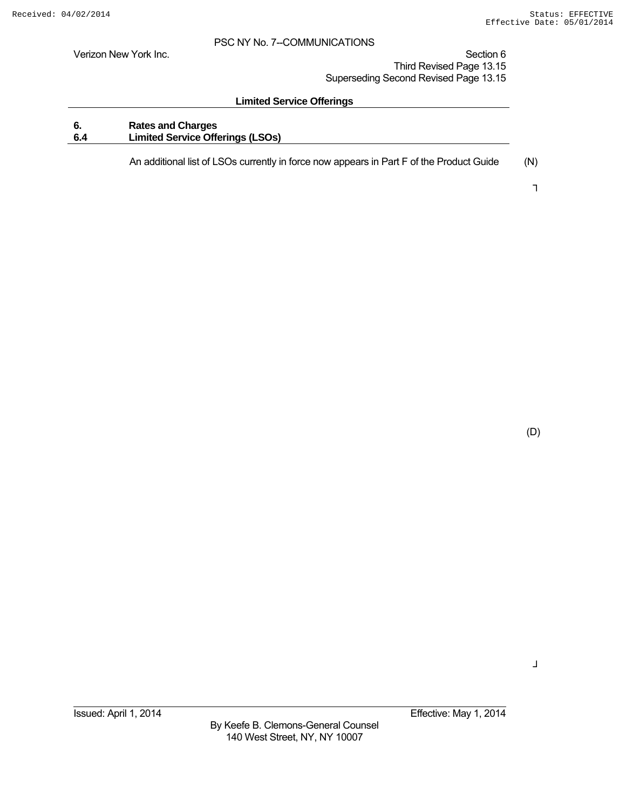Verizon New York Inc. Section 6 Third Revised Page 13.15 Superseding Second Revised Page 13.15

#### **Limited Service Offerings**

## **6. Rates and Charges 6.4 Limited Service Offerings (LSOs)**

An additional list of LSOs currently in force now appears in Part F of the Product Guide (N)

┐

(D)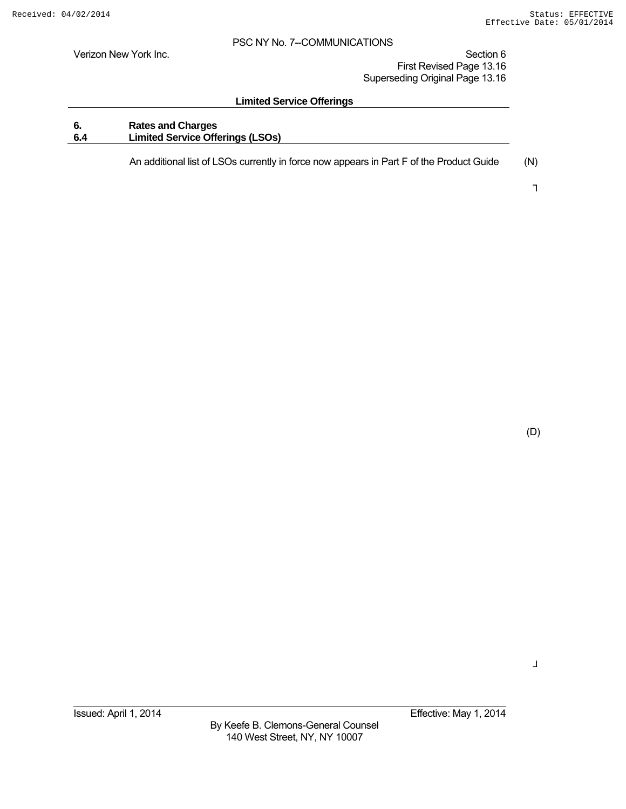Verizon New York Inc. Section 6

 First Revised Page 13.16 Superseding Original Page 13.16

#### **Limited Service Offerings**

## **6. Rates and Charges 6.4 Limited Service Offerings (LSOs)**

An additional list of LSOs currently in force now appears in Part F of the Product Guide (N)

┐

(D)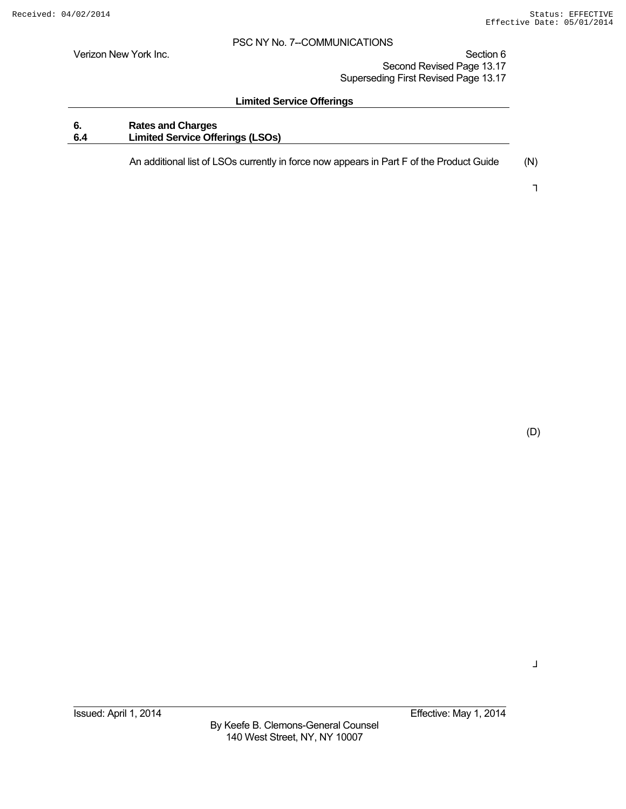Verizon New York Inc. Section 6 Second Revised Page 13.17 Superseding First Revised Page 13.17

#### **Limited Service Offerings**

## **6. Rates and Charges 6.4 Limited Service Offerings (LSOs)**

An additional list of LSOs currently in force now appears in Part F of the Product Guide (N)

┐

(D)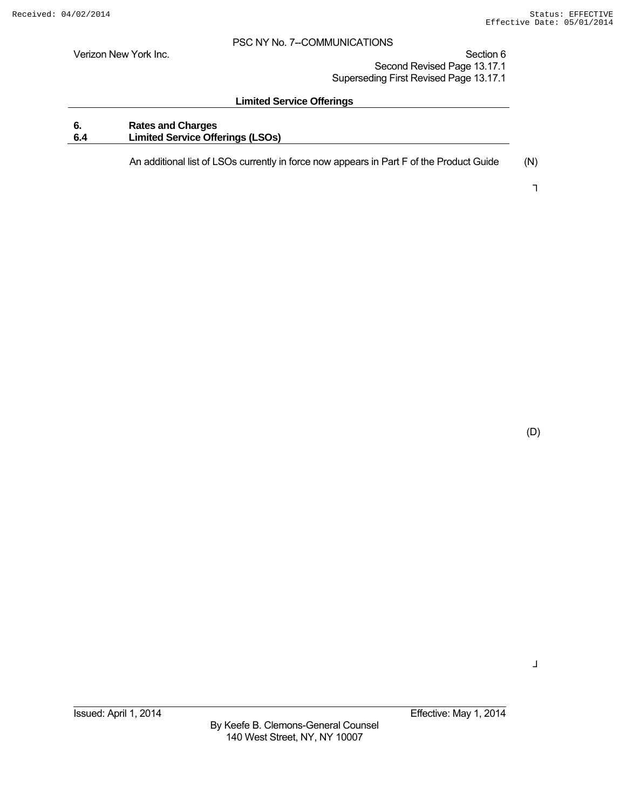Verizon New York Inc. Section 6 Second Revised Page 13.17.1 Superseding First Revised Page 13.17.1

#### **Limited Service Offerings**

## **6. Rates and Charges 6.4 Limited Service Offerings (LSOs)**

An additional list of LSOs currently in force now appears in Part F of the Product Guide (N)

┐

(D)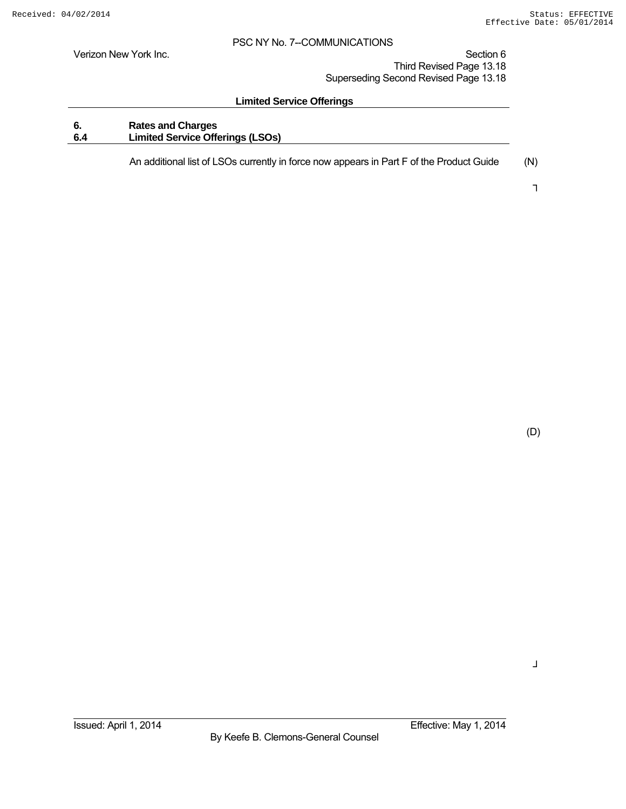Verizon New York Inc. Section 6 Third Revised Page 13.18 Superseding Second Revised Page 13.18

#### **Limited Service Offerings**

## **6. Rates and Charges 6.4 Limited Service Offerings (LSOs)**

An additional list of LSOs currently in force now appears in Part F of the Product Guide (N)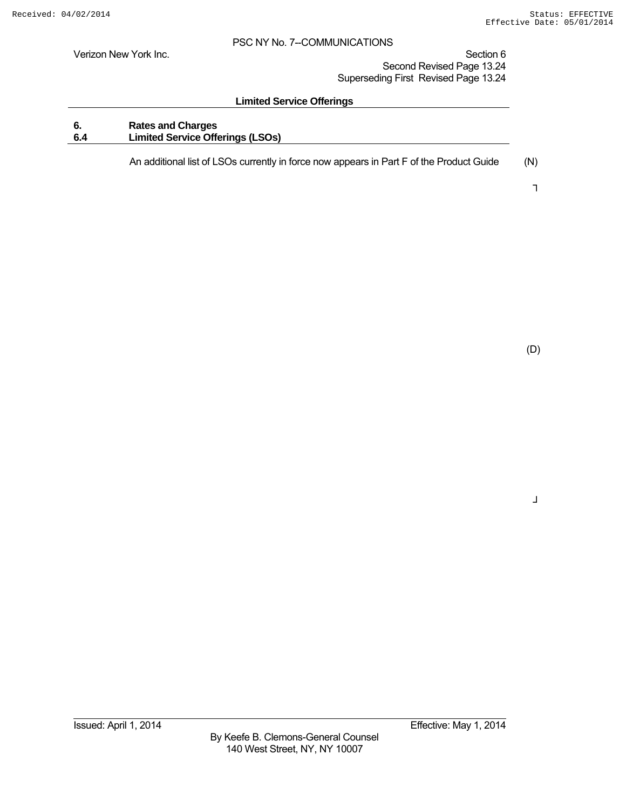Verizon New York Inc. Section 6 Second Revised Page 13.24 Superseding First Revised Page 13.24

#### **Limited Service Offerings**

## **6. Rates and Charges 6.4 Limited Service Offerings (LSOs)**

An additional list of LSOs currently in force now appears in Part F of the Product Guide (N)

┐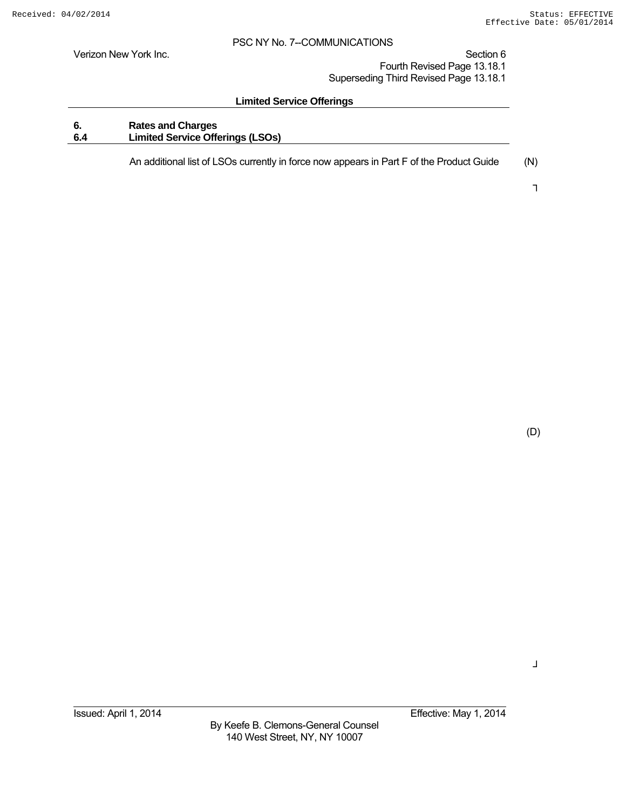Verizon New York Inc. Section 6 Fourth Revised Page 13.18.1 Superseding Third Revised Page 13.18.1

#### **Limited Service Offerings**

## **6. Rates and Charges 6.4 Limited Service Offerings (LSOs)**

An additional list of LSOs currently in force now appears in Part F of the Product Guide (N)

┐

(D)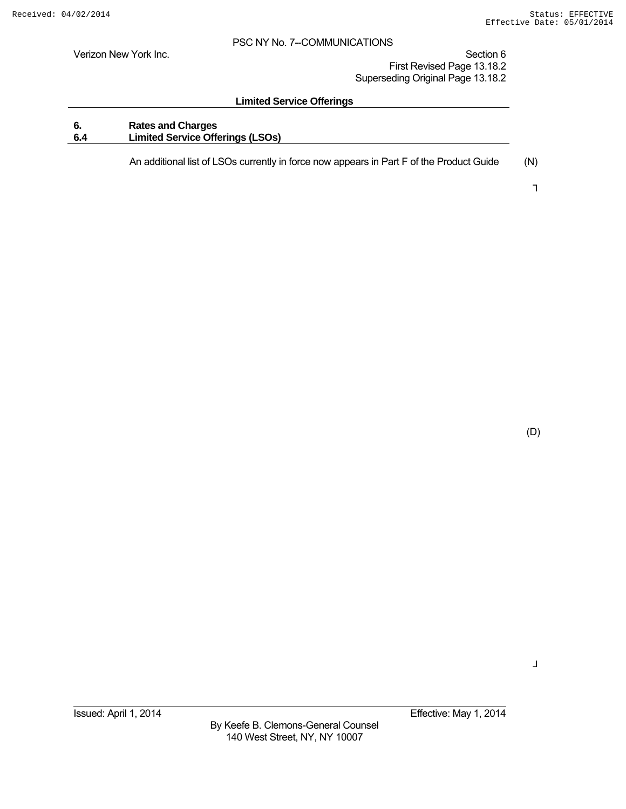Verizon New York Inc. Section 6

 First Revised Page 13.18.2 Superseding Original Page 13.18.2

#### **Limited Service Offerings**

## **6. Rates and Charges 6.4 Limited Service Offerings (LSOs)**

An additional list of LSOs currently in force now appears in Part F of the Product Guide (N)

┐

(D)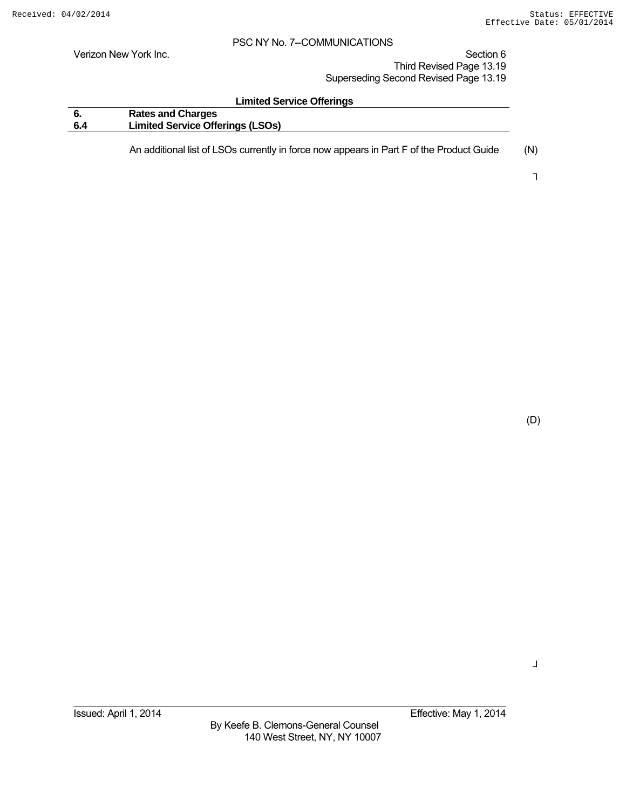Verizon New York Inc. Section 6 Third Revised Page 13.19 Superseding Second Revised Page 13.19

# **Limited Service Offerings 6. Rates and Charges 6.4 Limited Service Offerings (LSOs)**  An additional list of LSOs currently in force now appears in Part F of the Product Guide (N)

┐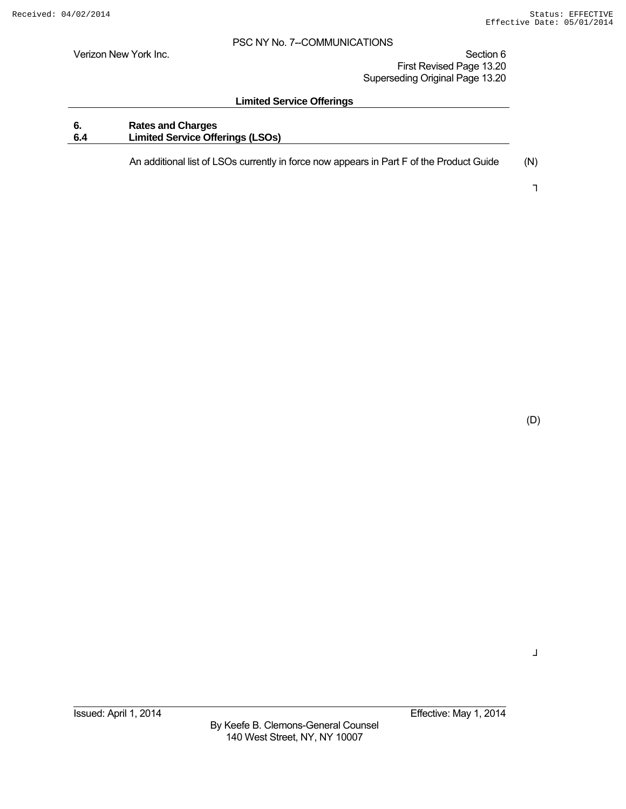Verizon New York Inc. Section 6

 First Revised Page 13.20 Superseding Original Page 13.20

#### **Limited Service Offerings**

## **6. Rates and Charges 6.4 Limited Service Offerings (LSOs)**

An additional list of LSOs currently in force now appears in Part F of the Product Guide (N)

┐

(D)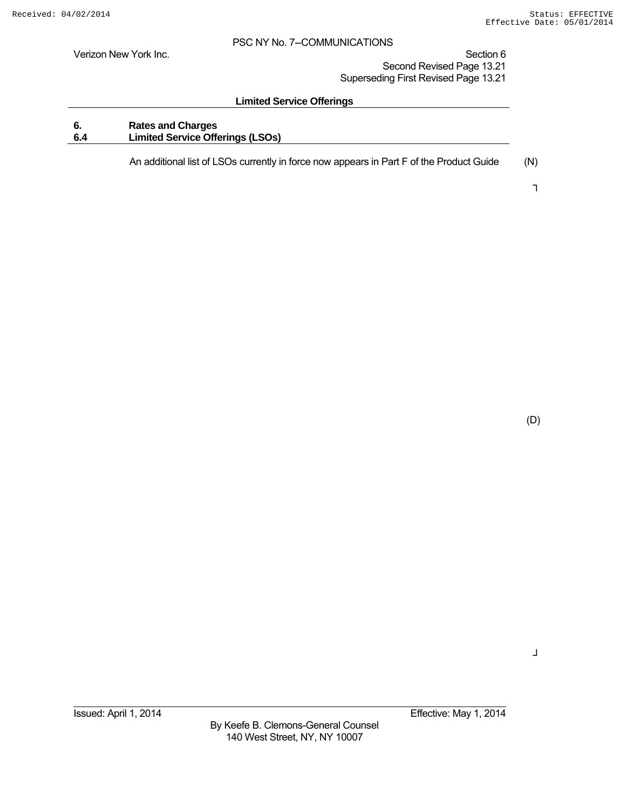Verizon New York Inc. Section 6 Second Revised Page 13.21 Superseding First Revised Page 13.21

#### **Limited Service Offerings**

## **6. Rates and Charges 6.4 Limited Service Offerings (LSOs)**

An additional list of LSOs currently in force now appears in Part F of the Product Guide (N)

┐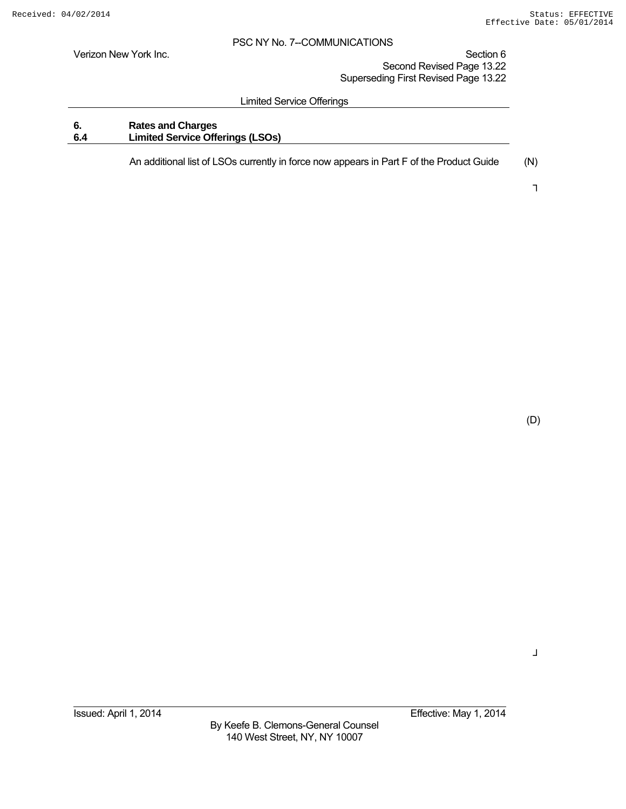Verizon New York Inc. Section 6 Second Revised Page 13.22 Superseding First Revised Page 13.22

#### Limited Service Offerings

## **6. Rates and Charges 6.4 Limited Service Offerings (LSOs)**

An additional list of LSOs currently in force now appears in Part F of the Product Guide (N)

┐

(D)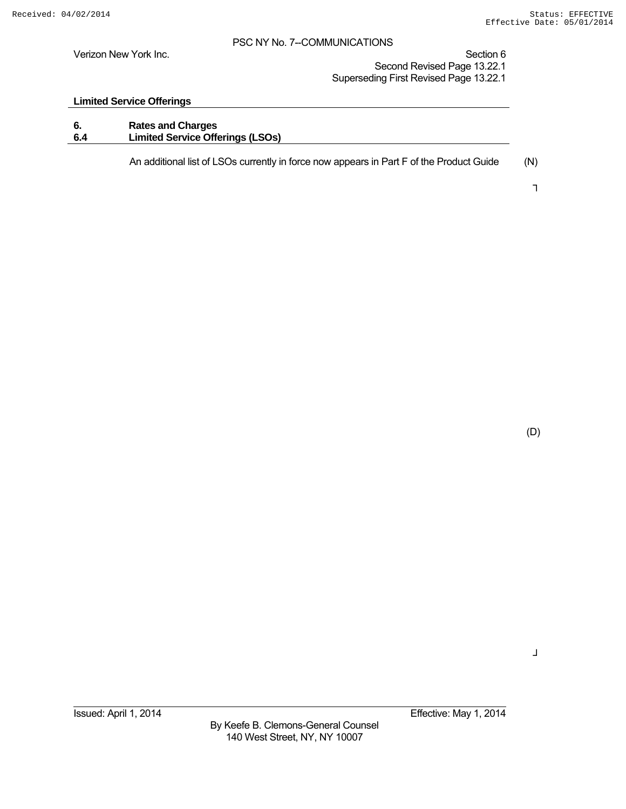Verizon New York Inc. Section 6 Second Revised Page 13.22.1 Superseding First Revised Page 13.22.1

#### **Limited Service Offerings**

|      | <b>Rates and Charges</b>                |
|------|-----------------------------------------|
| -6.4 | <b>Limited Service Offerings (LSOs)</b> |
|      |                                         |

An additional list of LSOs currently in force now appears in Part F of the Product Guide (N)

┐

(D)